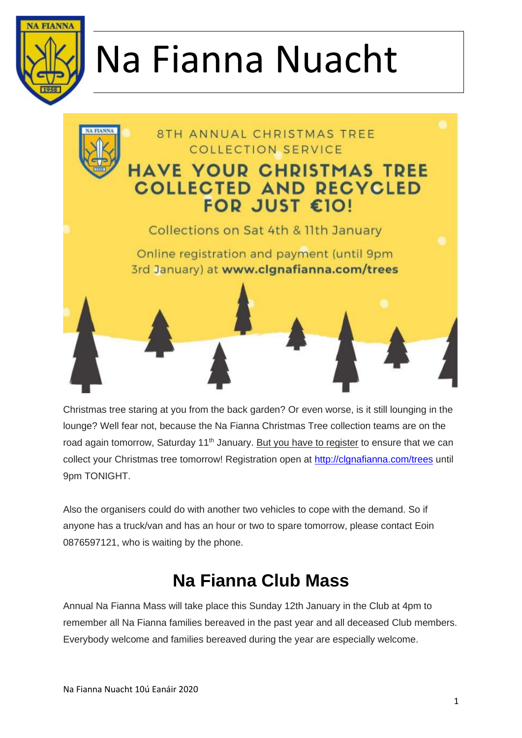



Christmas tree staring at you from the back garden? Or even worse, is it still lounging in the lounge? Well fear not, because the Na Fianna Christmas Tree collection teams are on the road again tomorrow, Saturday 11<sup>th</sup> January. But you have to register to ensure that we can collect your Christmas tree tomorrow! Registration open at [http://clgnafianna.com/trees](https://t.co/Ppt2f9pdH1?amp=1) until 9pm TONIGHT.

Also the organisers could do with another two vehicles to cope with the demand. So if anyone has a truck/van and has an hour or two to spare tomorrow, please contact Eoin 0876597121, who is waiting by the phone.

### **Na Fianna Club Mass**

Annual Na Fianna Mass will take place this Sunday 12th January in the Club at 4pm to remember all Na Fianna families bereaved in the past year and all deceased Club members. Everybody welcome and families bereaved during the year are especially welcome.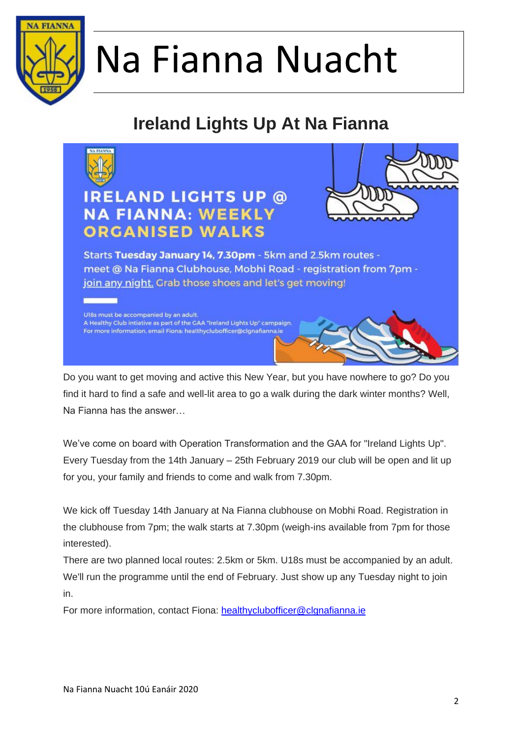

### **Ireland Lights Up At Na Fianna**



Do you want to get moving and active this New Year, but you have nowhere to go? Do you find it hard to find a safe and well-lit area to go a walk during the dark winter months? Well, Na Fianna has the answer…

We've come on board with Operation Transformation and the GAA for "Ireland Lights Up". Every Tuesday from the 14th January – 25th February 2019 our club will be open and lit up for you, your family and friends to come and walk from 7.30pm.

We kick off Tuesday 14th January at Na Fianna clubhouse on Mobhi Road. Registration in the clubhouse from 7pm; the walk starts at 7.30pm (weigh-ins available from 7pm for those interested).

There are two planned local routes: 2.5km or 5km. U18s must be accompanied by an adult. We'll run the programme until the end of February. Just show up any Tuesday night to join in.

For more information, contact Fiona: [healthyclubofficer@clgnafianna.ie](mailto:healthyclubofficer@clgnafianna.ie)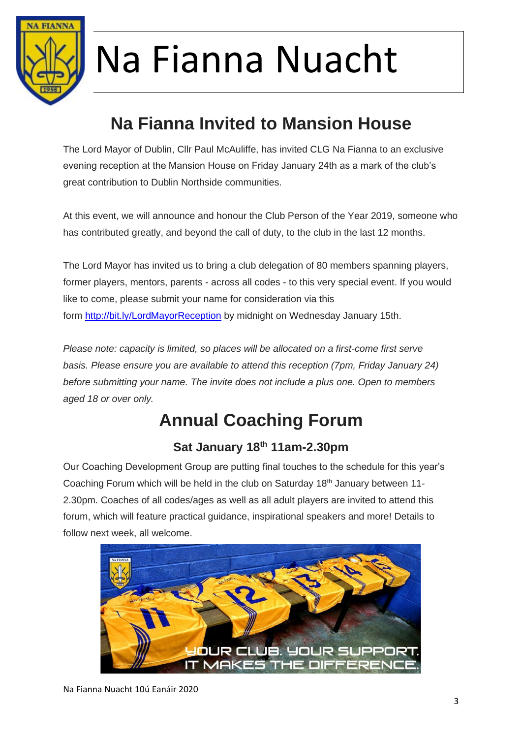

### **Na Fianna Invited to Mansion House**

The Lord Mayor of Dublin, Cllr Paul McAuliffe, has invited CLG Na Fianna to an exclusive evening reception at the Mansion House on Friday January 24th as a mark of the club's great contribution to Dublin Northside communities.

At this event, we will announce and honour the Club Person of the Year 2019, someone who has contributed greatly, and beyond the call of duty, to the club in the last 12 months.

The Lord Mayor has invited us to bring a club delegation of 80 members spanning players, former players, mentors, parents - across all codes - to this very special event. If you would like to come, please submit your name for consideration via this form <http://bit.ly/LordMayorReception> by midnight on Wednesday January 15th.

*Please note: capacity is limited, so places will be allocated on a first-come first serve basis. Please ensure you are available to attend this reception (7pm, Friday January 24) before submitting your name. The invite does not include a plus one. Open to members aged 18 or over only.*

### **Annual Coaching Forum**

#### **Sat January 18th 11am-2.30pm**

Our Coaching Development Group are putting final touches to the schedule for this year's Coaching Forum which will be held in the club on Saturday 18th January between 11- 2.30pm. Coaches of all codes/ages as well as all adult players are invited to attend this forum, which will feature practical guidance, inspirational speakers and more! Details to follow next week, all welcome.

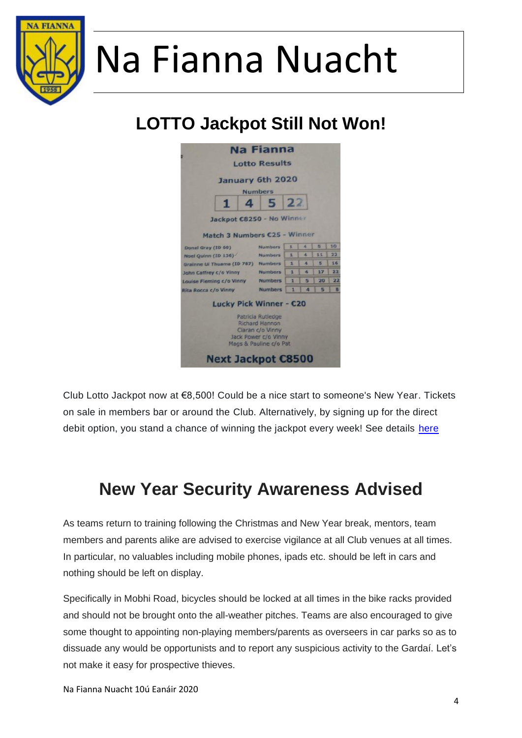

## **LOTTO Jackpot Still Not Won!**

|                                    |   |   | <b>Na Fianna</b>                                                                                                                            |    |   |    |    |
|------------------------------------|---|---|---------------------------------------------------------------------------------------------------------------------------------------------|----|---|----|----|
|                                    |   |   | <b>Lotto Results</b>                                                                                                                        |    |   |    |    |
|                                    |   |   | January 6th 2020<br><b>Numbers</b>                                                                                                          |    |   |    |    |
|                                    | п | 4 | 5                                                                                                                                           | 22 |   |    |    |
|                                    |   |   | Jackpot C8250 - No Winner                                                                                                                   |    |   |    |    |
|                                    |   |   | <b>Match 3 Numbers C25 - Winner</b>                                                                                                         |    |   |    |    |
| Donal Gray (ID 60)                 |   |   | <b>Numbers</b>                                                                                                                              | x  | × | Б  | 10 |
| Noel Quinn (ID 136)                |   |   | <b>Numbers</b>                                                                                                                              | x  | 4 | 11 | 22 |
| Grainne Ui Thuama (ID 787) Numbers |   |   |                                                                                                                                             | 1  | л | 写  | 16 |
| John Caffrey c/o Vinny             |   |   | <b>Numbers</b>                                                                                                                              | ×  | 4 | 17 | 22 |
| Louise Fleming c/o Vinny           |   |   | <b>Numbers</b>                                                                                                                              | 1  | 5 | 20 | 22 |
| Rita Rocca c/o Vinny               |   |   | <b>Numbers</b>                                                                                                                              | 1  | 4 | 5  | 8  |
|                                    |   |   | Lucky Pick Winner - C20<br>Patricia Rutledge<br><b>Richard Hannon</b><br>Ciaran c/o Vinny<br>Jack Power c/o Vinny<br>Mags & Pauline c/o Pat |    |   |    |    |
|                                    |   |   | <b>Next Jackpot €8500</b>                                                                                                                   |    |   |    |    |

Club Lotto Jackpot now at €8,500! Could be a nice start to someone's New Year. Tickets on sale in members bar or around the Club. Alternatively, by signing up for the direct debit option, you stand a chance of winning the jackpot every week! See details [here](http://www.clgnafianna.com/club-information/club-lotto/)

#### **New Year Security Awareness Advised**

As teams return to training following the Christmas and New Year break, mentors, team members and parents alike are advised to exercise vigilance at all Club venues at all times. In particular, no valuables including mobile phones, ipads etc. should be left in cars and nothing should be left on display.

Specifically in Mobhi Road, bicycles should be locked at all times in the bike racks provided and should not be brought onto the all-weather pitches. Teams are also encouraged to give some thought to appointing non-playing members/parents as overseers in car parks so as to dissuade any would be opportunists and to report any suspicious activity to the Gardaí. Let's not make it easy for prospective thieves.

Na Fianna Nuacht 10ú Eanáir 2020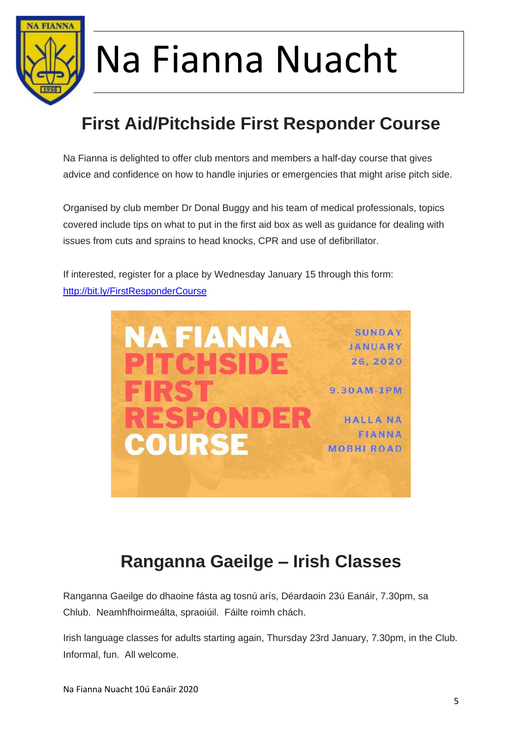

### **First Aid/Pitchside First Responder Course**

Na Fianna is delighted to offer club mentors and members a half-day course that gives advice and confidence on how to handle injuries or emergencies that might arise pitch side.

Organised by club member Dr Donal Buggy and his team of medical professionals, topics covered include tips on what to put in the first aid box as well as guidance for dealing with issues from cuts and sprains to head knocks, CPR and use of defibrillator.

If interested, register for a place by Wednesday January 15 through this form: [http://bit.ly/FirstResponderCourse](https://l.facebook.com/l.php?u=https%3A%2F%2Fbit.ly%2FFirstResponderCourse%3Ffbclid%3DIwAR0j5mQKmRTGKLstxPA5pu34DsvdfBWDXQU_QOE3pFbjGL6Y98sskObskTQ&h=AT0BXZt-xgXpZze_SlnS1yRwp5Z-j7155aYRV91yHeJDDTeKRVINGT2Ap6I7tZAbBfqvIVsNBxHJid_LloMDnJ9WC_FYNBZhpN4zS5aGY3DUUeR8fBoXqJgglCwzmlBXuGcsfZ8)



#### **Ranganna Gaeilge – Irish Classes**

Ranganna Gaeilge do dhaoine fásta ag tosnú arís, Déardaoin 23ú Eanáir, 7.30pm, sa Chlub. Neamhfhoirmeálta, spraoiúil. Fáilte roimh chách.

Irish language classes for adults starting again, Thursday 23rd January, 7.30pm, in the Club. Informal, fun. All welcome.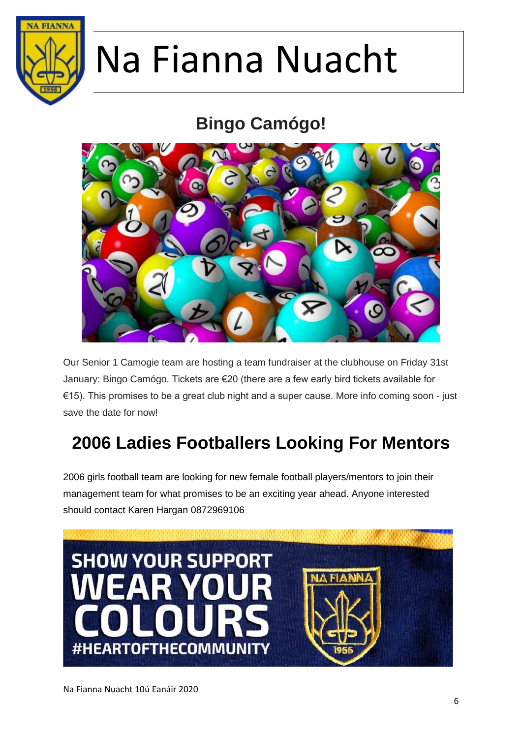

## **Bingo Camógo!**



Our Senior 1 Camogie team are hosting a team fundraiser at the clubhouse on Friday 31st January: Bingo Camógo. Tickets are €20 (there are a few early bird tickets available for €15). This promises to be a great club night and a super cause. More info coming soon - just save the date for now!

## **2006 Ladies Footballers Looking For Mentors**

2006 girls football team are looking for new female football players/mentors to join their management team for what promises to be an exciting year ahead. Anyone interested should contact Karen Hargan 0872969106

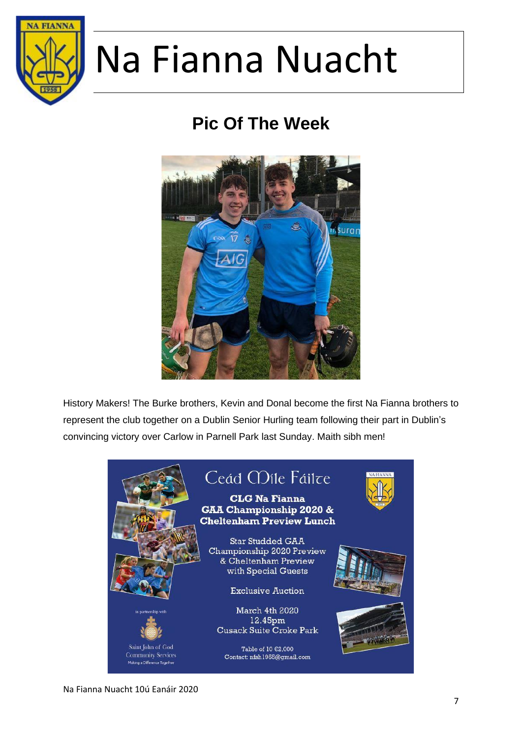

## **Pic Of The Week**



History Makers! The Burke brothers, Kevin and Donal become the first Na Fianna brothers to represent the club together on a Dublin Senior Hurling team following their part in Dublin's convincing victory over Carlow in Parnell Park last Sunday. Maith sibh men!

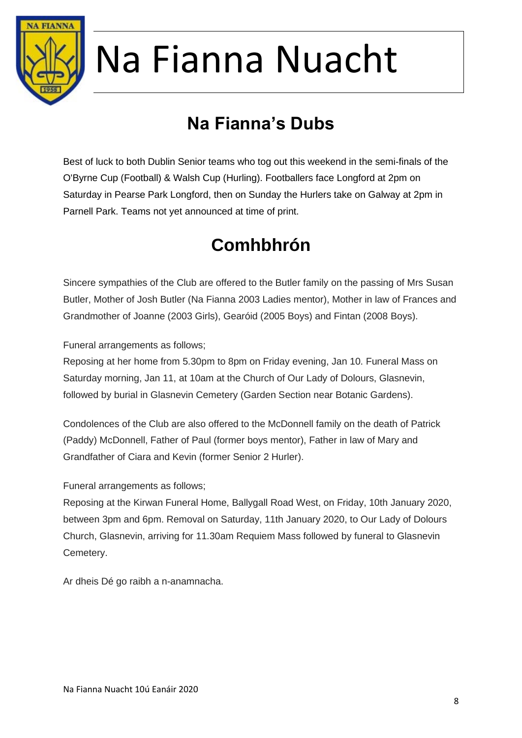

## **Na Fianna's Dubs**

Best of luck to both Dublin Senior teams who tog out this weekend in the semi-finals of the O'Byrne Cup (Football) & Walsh Cup (Hurling). Footballers face Longford at 2pm on Saturday in Pearse Park Longford, then on Sunday the Hurlers take on Galway at 2pm in Parnell Park. Teams not yet announced at time of print.

## **Comhbhrón**

Sincere sympathies of the Club are offered to the Butler family on the passing of Mrs Susan Butler, Mother of Josh Butler (Na Fianna 2003 Ladies mentor), Mother in law of Frances and Grandmother of Joanne (2003 Girls), Gearóid (2005 Boys) and Fintan (2008 Boys).

Funeral arrangements as follows;

Reposing at her home from 5.30pm to 8pm on Friday evening, Jan 10. Funeral Mass on Saturday morning, Jan 11, at 10am at the Church of Our Lady of Dolours, Glasnevin, followed by burial in Glasnevin Cemetery (Garden Section near Botanic Gardens).

Condolences of the Club are also offered to the McDonnell family on the death of Patrick (Paddy) McDonnell, Father of Paul (former boys mentor), Father in law of Mary and Grandfather of Ciara and Kevin (former Senior 2 Hurler).

Funeral arrangements as follows;

Reposing at the Kirwan Funeral Home, Ballygall Road West, on Friday, 10th January 2020, between 3pm and 6pm. Removal on Saturday, 11th January 2020, to Our Lady of Dolours Church, Glasnevin, arriving for 11.30am Requiem Mass followed by funeral to Glasnevin Cemetery.

Ar dheis Dé go raibh a n-anamnacha.